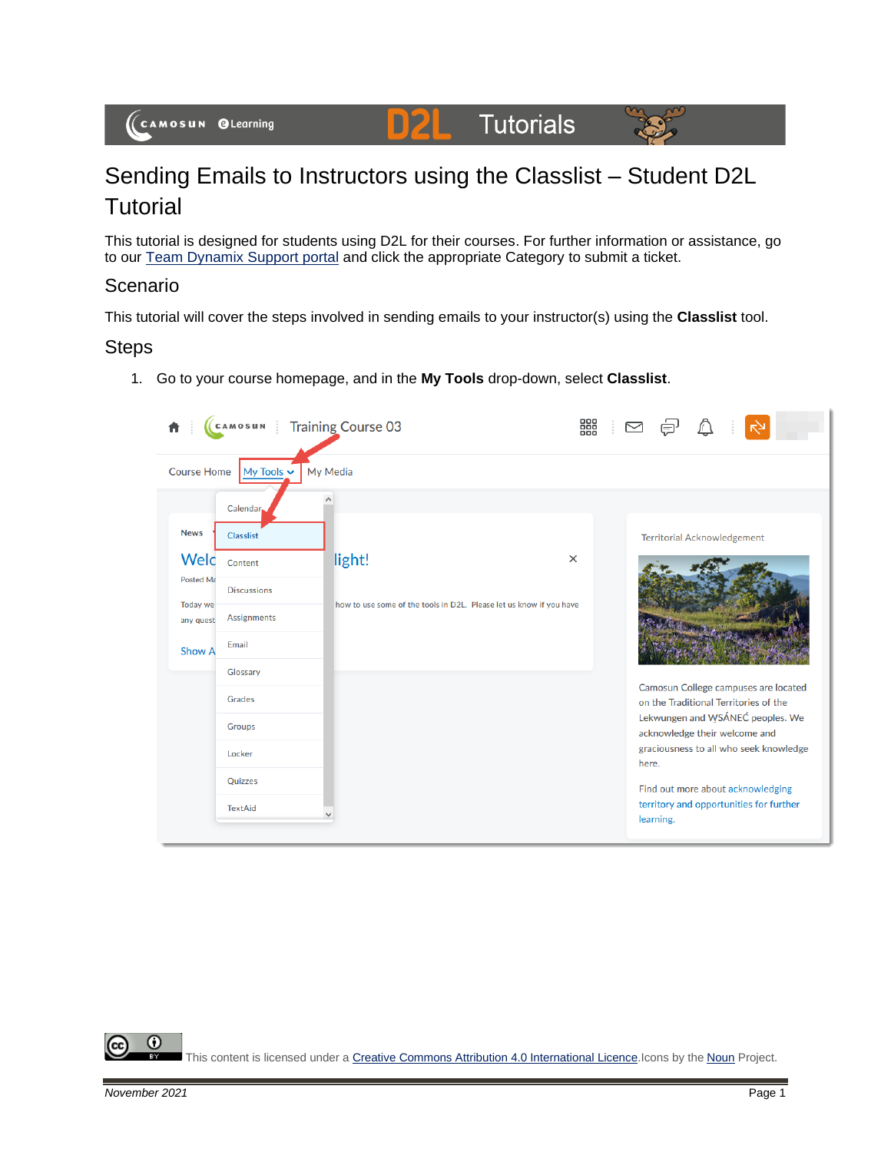#### **Tutorials D2L**



# Sending Emails to Instructors using the Classlist – Student D2L **Tutorial**

This tutorial is designed for students using D2L for their courses. For further information or assistance, go to our [Team Dynamix Support portal](https://camosun.teamdynamix.com/TDClient/67/Portal/Requests/ServiceCatalog?CategoryID=524) and click the appropriate Category to submit a ticket.

### Scenario

This tutorial will cover the steps involved in sending emails to your instructor(s) using the **Classlist** tool.

### **Steps**

1. Go to your course homepage, and in the **My Tools** drop-down, select **Classlist**.



⋒ This content is licensed under [a Creative Commons Attribution 4.0 International Licence.I](https://creativecommons.org/licenses/by/4.0/)cons by the [Noun](https://creativecommons.org/website-icons/) Project.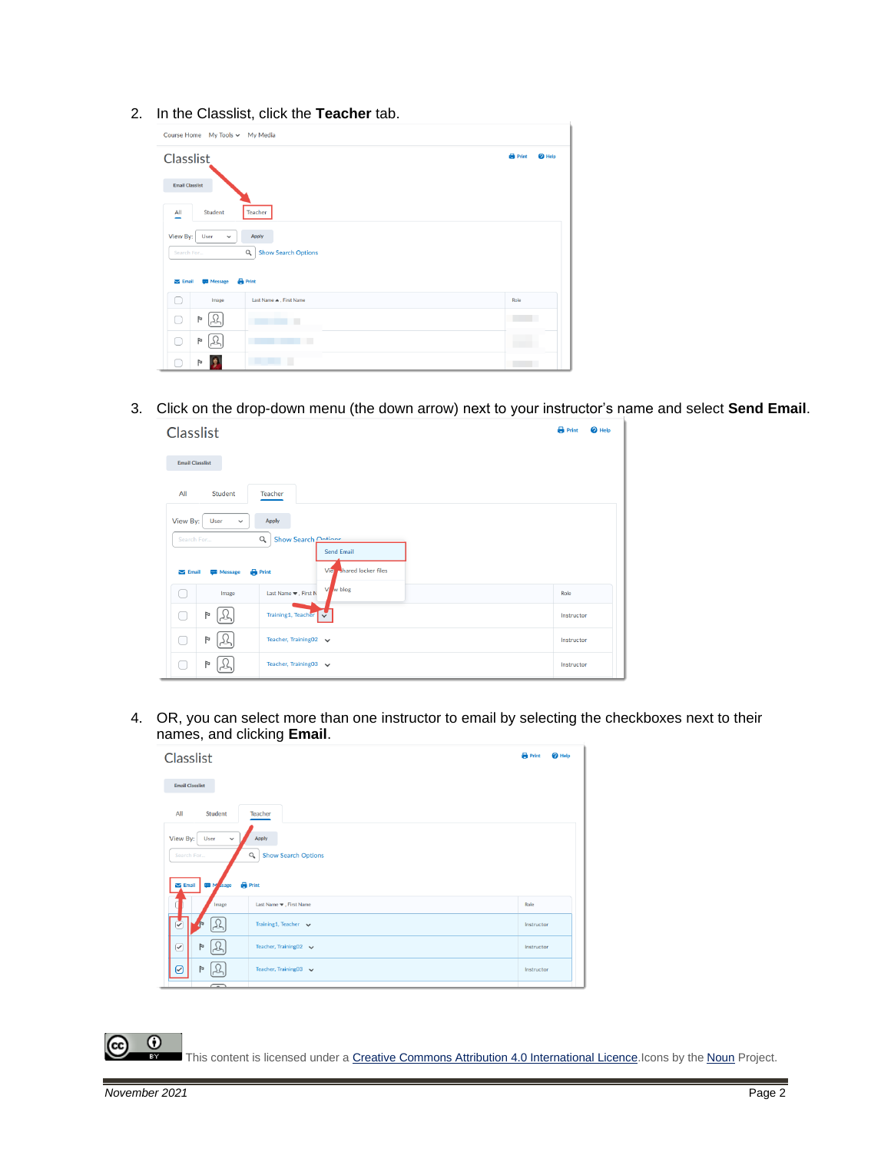2. In the Classlist, click the **Teacher** tab.

| Course Home My Tools ~ My Media                                                                                                                                  |                         |                          |               |  |
|------------------------------------------------------------------------------------------------------------------------------------------------------------------|-------------------------|--------------------------|---------------|--|
| Classlist                                                                                                                                                        |                         |                          | $\Theta$ Help |  |
| <b>Email Classlist</b><br>Student<br>Teacher                                                                                                                     |                         |                          |               |  |
| All<br>View By:<br>User<br>Apply<br>$\checkmark$<br>$Q_{\rm c}$<br><b>Show Search Options</b><br>Search For<br><b>Print</b><br>$\sum$ Email<br><b>WE</b> Message |                         |                          |               |  |
| Image<br>- 1                                                                                                                                                     | Last Name A. First Name | Role                     |               |  |
| $\triangleright$<br>×                                                                                                                                            | ٠<br><b>The Common</b>  | <b>Contract Contract</b> |               |  |
| Þ<br>□<br>عدا                                                                                                                                                    |                         |                          |               |  |
| J.<br>Þ                                                                                                                                                          | п                       |                          |               |  |

3. Click on the drop-down menu (the down arrow) next to your instructor's name and select **Send Email**.

| Classlist                                                                                                                                                      | <b>B</b> Print<br><sup>O</sup> Help |  |  |
|----------------------------------------------------------------------------------------------------------------------------------------------------------------|-------------------------------------|--|--|
| <b>Email Classlist</b>                                                                                                                                         |                                     |  |  |
| All<br>Student<br>Teacher                                                                                                                                      |                                     |  |  |
| View By:<br>User<br>Apply<br>$\checkmark$                                                                                                                      |                                     |  |  |
| Show Search Ontione<br>$\alpha$<br>Search For<br><b>Send Email</b><br><b>Shared locker files</b><br>Vier<br><b>Print</b><br>$\sum$ Email<br><b>TEM</b> Message |                                     |  |  |
| w blog<br>Vi<br>Last Name $\blacktriangledown$ , First N<br>Image                                                                                              | Role                                |  |  |
| P<br>Training1, Teacher                                                                                                                                        | Instructor                          |  |  |
| P<br>Ξ<br>Teacher, Training02 v                                                                                                                                | Instructor                          |  |  |
| $\triangleright$<br>Teacher, Training03 v                                                                                                                      | Instructor                          |  |  |

4. OR, you can select more than one instructor to email by selecting the checkboxes next to their names, and clicking **Email**.



This content is licensed under [a Creative Commons Attribution 4.0 International Licence.I](https://creativecommons.org/licenses/by/4.0/)cons by the [Noun](https://creativecommons.org/website-icons/) Project.

 $\odot$